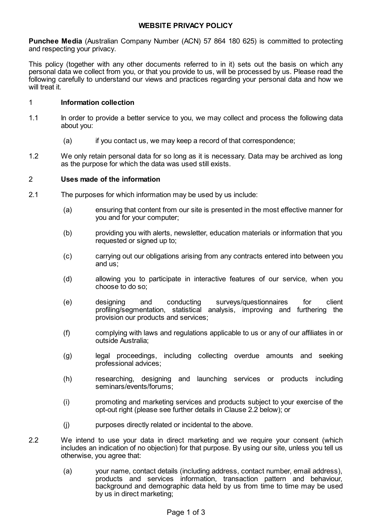# **WEBSITE PRIVACY POLICY**

**Punchee Media** (Australian Company Number (ACN) 57 864 180 625) is committed to protecting and respecting your privacy.

This policy (together with any other documents referred to in it) sets out the basis on which any personal data we collect from you, or that you provide to us, will be processed by us. Please read the following carefully to understand our views and practices regarding your personal data and how we will treat it.

## 1 **Information collection**

- 1.1 In order to provide a better service to you, we may collect and process the following data about you:
	- (a) if you contact us, we may keep a record of that correspondence;
- 1.2 We only retain personal data for so long as it is necessary. Data may be archived as long as the purpose for which the data was used still exists.

#### 2 **Uses made of the information**

- 2.1 The purposes for which information may be used by us include:
	- (a) ensuring that content from our site is presented in the most effective manner for you and for your computer;
	- (b) providing you with alerts, newsletter, education materials or information that you requested or signed up to;
	- (c) carrying out our obligations arising from any contracts entered into between you and us;
	- (d) allowing you to participate in interactive features of our service, when you choose to do so;
	- (e) designing and conducting surveys/questionnaires for client profiling/segmentation, statistical analysis, improving and furthering the provision our products and services;
	- (f) complying with laws and regulations applicable to us or any of our affiliates in or outside Australia;
	- (g) legal proceedings, including collecting overdue amounts and seeking professional advices;
	- (h) researching, designing and launching services or products including seminars/events/forums;
	- (i) promoting and marketing services and products subject to your exercise of the opt-out right (please see further details in Clause [2.2](#page-0-0) below); or
	- (j) purposes directly related or incidental to the above.
- <span id="page-0-0"></span>2.2 We intend to use your data in direct marketing and we require your consent (which includes an indication of no objection) for that purpose. By using our site, unless you tell us otherwise, you agree that:
	- (a) your name, contact details (including address, contact number, email address), products and services information, transaction pattern and behaviour, background and demographic data held by us from time to time may be used by us in direct marketing;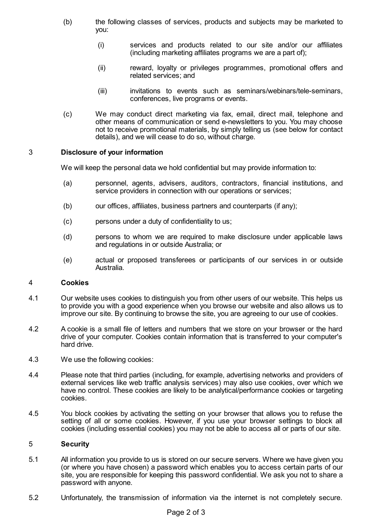- (b) the following classes of services, products and subjects may be marketed to you:
	- (i) services and products related to our site and/or our affiliates (including marketing affiliates programs we are a part of);
	- (ii) reward, loyalty or privileges programmes, promotional offers and related services; and
	- (iii) invitations to events such as seminars/webinars/tele-seminars, conferences, live programs or events.
- (c) We may conduct direct marketing via fax, email, direct mail, telephone and other means of communication or send e-newsletters to you. You may choose not to receive promotional materials, by simply telling us (see below for contact details), and we will cease to do so, without charge.

## 3 **Disclosure of your information**

We will keep the personal data we hold confidential but may provide information to:

- (a) personnel, agents, advisers, auditors, contractors, financial institutions, and service providers in connection with our operations or services;
- (b) our offices, affiliates, business partners and counterparts (if any);
- (c) persons under a duty of confidentiality to us;
- (d) persons to whom we are required to make disclosure under applicable laws and regulations in or outside Australia; or
- (e) actual or proposed transferees or participants of our services in or outside Australia.

## 4 **Cookies**

- 4.1 Our website uses cookies to distinguish you from other users of our website. This helps us to provide you with a good experience when you browse our website and also allows us to improve our site. By continuing to browse the site, you are agreeing to our use of cookies.
- 4.2 A cookie is a small file of letters and numbers that we store on your browser or the hard drive of your computer. Cookies contain information that is transferred to your computer's hard drive.
- 4.3 We use the following cookies:
- 4.4 Please note that third parties (including, for example, advertising networks and providers of external services like web traffic analysis services) may also use cookies, over which we have no control. These cookies are likely to be analytical/performance cookies or targeting cookies.
- 4.5 You block cookies by activating the setting on your browser that allows you to refuse the setting of all or some cookies. However, if you use your browser settings to block all cookies (including essential cookies) you may not be able to access all or parts of our site.

## 5 **Security**

- 5.1 All information you provide to us is stored on our secure servers. Where we have given you (or where you have chosen) a password which enables you to access certain parts of our site, you are responsible for keeping this password confidential. We ask you not to share a password with anyone.
- 5.2 Unfortunately, the transmission of information via the internet is not completely secure.